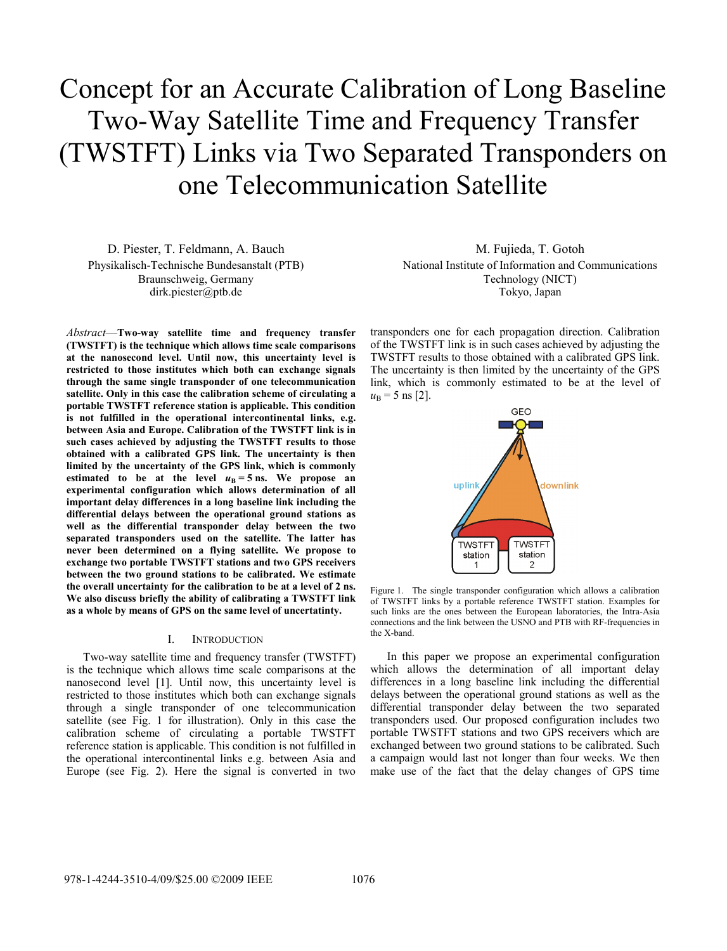# Concept for an Accurate Calibration of Long Baseline Two-Way Satellite Time and Frequency Transfer (TWSTFT) Links via Two Separated Transponders on one Telecommunication Satellite

D. Piester, T. Feldmann, A. Bauch Physikalisch-Technische Bundesanstalt (PTB) Braunschweig, Germany dirk.piester@ptb.de

*Abstract*—**Two-way satellite time and frequency transfer (TWSTFT) is the technique which allows time scale comparisons at the nanosecond level. Until now, this uncertainty level is restricted to those institutes which both can exchange signals through the same single transponder of one telecommunication satellite. Only in this case the calibration scheme of circulating a portable TWSTFT reference station is applicable. This condition is not fulfilled in the operational intercontinental links, e.g. between Asia and Europe. Calibration of the TWSTFT link is in such cases achieved by adjusting the TWSTFT results to those obtained with a calibrated GPS link. The uncertainty is then limited by the uncertainty of the GPS link, which is commonly**  estimated to be at the level  $u_B = 5$  ns. We propose an **experimental configuration which allows determination of all important delay differences in a long baseline link including the differential delays between the operational ground stations as well as the differential transponder delay between the two separated transponders used on the satellite. The latter has never been determined on a flying satellite. We propose to exchange two portable TWSTFT stations and two GPS receivers between the two ground stations to be calibrated. We estimate the overall uncertainty for the calibration to be at a level of 2 ns. We also discuss briefly the ability of calibrating a TWSTFT link as a whole by means of GPS on the same level of uncertatinty.** 

#### I. INTRODUCTION

Two-way satellite time and frequency transfer (TWSTFT) is the technique which allows time scale comparisons at the nanosecond level [1]. Until now, this uncertainty level is restricted to those institutes which both can exchange signals through a single transponder of one telecommunication satellite (see Fig. 1 for illustration). Only in this case the calibration scheme of circulating a portable TWSTFT reference station is applicable. This condition is not fulfilled in the operational intercontinental links e.g. between Asia and Europe (see Fig. 2). Here the signal is converted in two

M. Fujieda, T. Gotoh National Institute of Information and Communications Technology (NICT) Tokyo, Japan

transponders one for each propagation direction. Calibration of the TWSTFT link is in such cases achieved by adjusting the TWSTFT results to those obtained with a calibrated GPS link. The uncertainty is then limited by the uncertainty of the GPS link, which is commonly estimated to be at the level of  $u_{\rm B} = 5$  ns [2].



Figure 1. The single transponder configuration which allows a calibration of TWSTFT links by a portable reference TWSTFT station. Examples for such links are the ones between the European laboratories, the Intra-Asia connections and the link between the USNO and PTB with RF-frequencies in the X-band.

In this paper we propose an experimental configuration which allows the determination of all important delay differences in a long baseline link including the differential delays between the operational ground stations as well as the differential transponder delay between the two separated transponders used. Our proposed configuration includes two portable TWSTFT stations and two GPS receivers which are exchanged between two ground stations to be calibrated. Such a campaign would last not longer than four weeks. We then make use of the fact that the delay changes of GPS time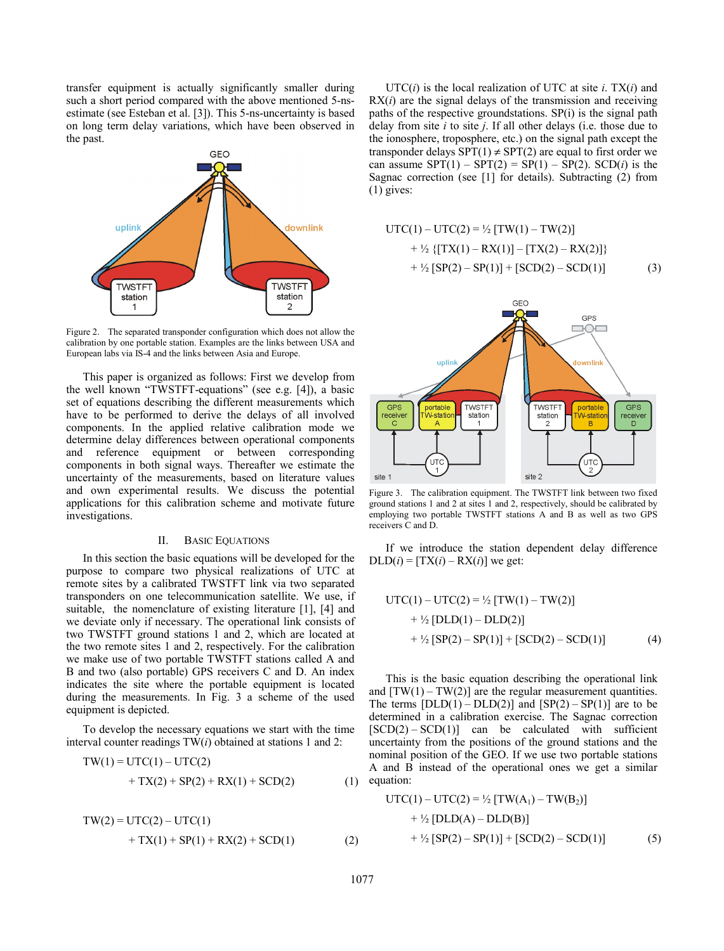transfer equipment is actually significantly smaller during such a short period compared with the above mentioned 5-nsestimate (see Esteban et al. [3]). This 5-ns-uncertainty is based on long term delay variations, which have been observed in the past.



Figure 2. The separated transponder configuration which does not allow the calibration by one portable station. Examples are the links between USA and European labs via IS-4 and the links between Asia and Europe.

This paper is organized as follows: First we develop from the well known "TWSTFT-equations" (see e.g. [4]), a basic set of equations describing the different measurements which have to be performed to derive the delays of all involved components. In the applied relative calibration mode we determine delay differences between operational components and reference equipment or between corresponding components in both signal ways. Thereafter we estimate the uncertainty of the measurements, based on literature values and own experimental results. We discuss the potential applications for this calibration scheme and motivate future investigations.

## II. BASIC EQUATIONS

In this section the basic equations will be developed for the purpose to compare two physical realizations of UTC at remote sites by a calibrated TWSTFT link via two separated transponders on one telecommunication satellite. We use, if suitable, the nomenclature of existing literature [1], [4] and we deviate only if necessary. The operational link consists of two TWSTFT ground stations 1 and 2, which are located at the two remote sites 1 and 2, respectively. For the calibration we make use of two portable TWSTFT stations called A and B and two (also portable) GPS receivers C and D. An index indicates the site where the portable equipment is located during the measurements. In Fig. 3 a scheme of the used equipment is depicted.

To develop the necessary equations we start with the time interval counter readings TW(*i*) obtained at stations 1 and 2:

$$
TW(1) = UTC(1) – UTC(2) + TX(2) + SP(2) + RX(1) + SCD(2)
$$
(1)

$$
TW(2) = UTC(2) – UTC(1) + TX(1) + SP(1) + RX(2) + SCD(1)
$$
(2)

 $UTC(i)$  is the local realization of UTC at site *i*. TX $(i)$  and  $RX(i)$  are the signal delays of the transmission and receiving paths of the respective groundstations. SP(i) is the signal path delay from site *i* to site *j*. If all other delays (i.e. those due to the ionosphere, troposphere, etc.) on the signal path except the transponder delays  $SPT(1) \neq SPT(2)$  are equal to first order we can assume  $SPT(1) - SPT(2) = SP(1) - SP(2)$ .  $SCD(i)$  is the Sagnac correction (see [1] for details). Subtracting (2) from (1) gives:

$$
UTC(1) – UTC(2) = \frac{1}{2} [TW(1) – TW(2)]
$$
  
+ 
$$
\frac{1}{2} \{ [TX(1) – RX(1)] - [TX(2) – RX(2)] \}
$$
  
+ 
$$
\frac{1}{2} [SP(2) – SP(1)] + [SCD(2) – SCD(1)]
$$
 (3)



Figure 3. The calibration equipment. The TWSTFT link between two fixed ground stations 1 and 2 at sites 1 and 2, respectively, should be calibrated by employing two portable TWSTFT stations A and B as well as two GPS receivers C and D.

If we introduce the station dependent delay difference  $DLD(i) = [TX(i) - RX(i)]$  we get:

$$
UTC(1) – UTC(2) = \frac{1}{2} [TW(1) – TW(2)]
$$
  
+ 
$$
\frac{1}{2} [DLD(1) – DLD(2)]
$$
  
+ 
$$
\frac{1}{2} [SP(2) – SP(1)] + [SCD(2) – SCD(1)]
$$
 (4)

This is the basic equation describing the operational link and  $[TW(1) - TW(2)]$  are the regular measurement quantities. The terms  $[DLD(1) - DLD(2)]$  and  $[SP(2) - SP(1)]$  are to be determined in a calibration exercise. The Sagnac correction  $[SCD(2) - SCD(1)]$  can be calculated with sufficient uncertainty from the positions of the ground stations and the nominal position of the GEO. If we use two portable stations A and B instead of the operational ones we get a similar equation:

$$
UTC(1) – UTC(2) = \frac{1}{2} [TW(A_1) – TW(B_2)]
$$
  
+  $\frac{1}{2} [DLD(A) – DLD(B)]$   
+  $\frac{1}{2} [SP(2) – SP(1)] + [SCD(2) – SCD(1)]$  (5)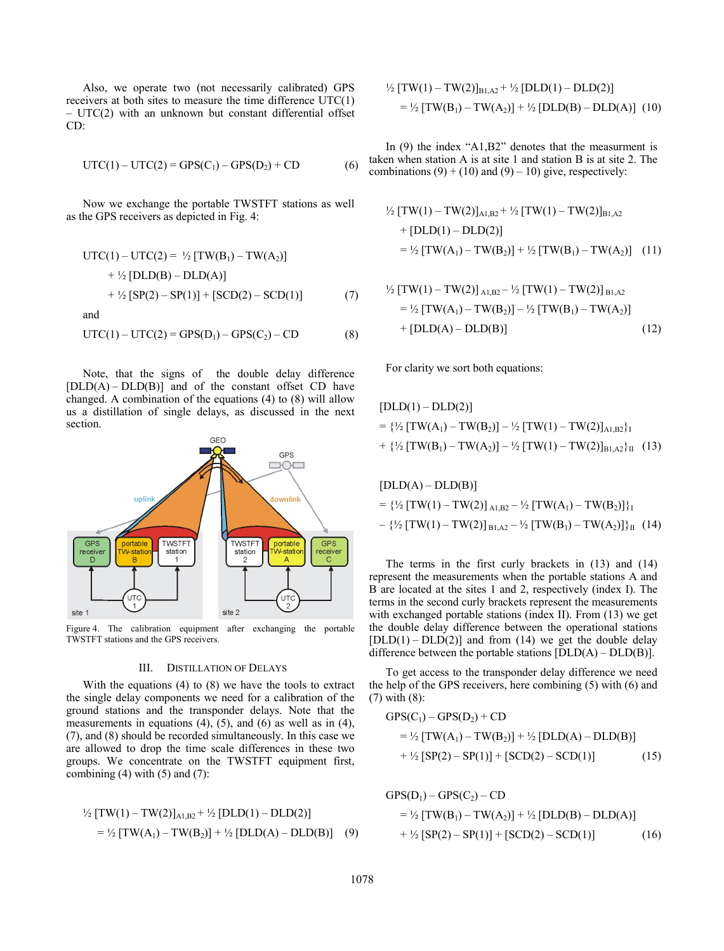Also, we operate two (not necessarily calibrated) GPS receivers at both sites to measure the time difference UTC(1) – UTC(2) with an unknown but constant differential offset CD:

$$
UTC(1) – UTC(2) = GPS(C1) – GPS(D2) + CD
$$
 (6)

Now we exchange the portable TWSTFT stations as well as the GPS receivers as depicted in Fig. 4:

$$
UTC(1) – UTC(2) = \frac{1}{2} [TW(B_1) – TW(A_2)]
$$
  
+  $\frac{1}{2} [DLD(B) – DLD(A)]$   
+  $\frac{1}{2} [SP(2) – SP(1)] + [SCD(2) – SCD(1)]$  (7)

and

$$
UTC(1) – UTC(2) = GPS(D1) – GPS(C2) – CD
$$
 (8)

Note, that the signs of the double delay difference  $[DLD(A) - DLD(B)]$  and of the constant offset CD have changed. A combination of the equations (4) to (8) will allow us a distillation of single delays, as discussed in the next section.



Figure 4. The calibration equipment after exchanging the portable TWSTFT stations and the GPS receivers.

## III. DISTILLATION OF DELAYS

With the equations (4) to (8) we have the tools to extract the single delay components we need for a calibration of the ground stations and the transponder delays. Note that the measurements in equations (4), (5), and (6) as well as in (4), (7), and (8) should be recorded simultaneously. In this case we are allowed to drop the time scale differences in these two groups. We concentrate on the TWSTFT equipment first, combining  $(4)$  with  $(5)$  and  $(7)$ :

$$
\frac{1}{2} [TW(1) - TW(2)]_{A1,B2} + \frac{1}{2} [DLD(1) - DLD(2)]
$$
  
= 
$$
\frac{1}{2} [TW(A_1) - TW(B_2)] + \frac{1}{2} [DLD(A) - DLD(B)] \quad (9)
$$

$$
\frac{1}{2} [TW(1) - TW(2)]_{B1,A2} + \frac{1}{2} [DLD(1) - DLD(2)]
$$
  
= 
$$
\frac{1}{2} [TW(B_1) - TW(A_2)] + \frac{1}{2} [DLD(B) - DLD(A)] (10)
$$

In (9) the index "A1,B2" denotes that the measurment is taken when station A is at site 1 and station B is at site 2. The combinations  $(9) + (10)$  and  $(9) - 10$ ) give, respectively:

$$
\frac{1}{2} [TW(1) - TW(2)]_{A1,B2} + \frac{1}{2} [TW(1) - TW(2)]_{B1,A2}
$$
  
+ [DLD(1) - DLD(2)]  
= 
$$
\frac{1}{2} [TW(A_1) - TW(B_2)] + \frac{1}{2} [TW(B_1) - TW(A_2)] \quad (11)
$$

$$
\frac{1}{2} [TW(1) - TW(2)]_{A1,B2} - \frac{1}{2} [TW(1) - TW(2)]_{B1,A2}
$$
  
= 
$$
\frac{1}{2} [TW(A_1) - TW(B_2)] - \frac{1}{2} [TW(B_1) - TW(A_2)]
$$
  
+ [DLD(A) - DLD(B)] (12)

For clarity we sort both equations:

$$
[DLD(1) - DLD(2)]
$$
  
= { $\frac{1}{2}$  [TW(A<sub>1</sub>) - TW(B<sub>2</sub>)] -  $\frac{1}{2}$  [TW(1) - TW(2)]<sub>A1,B2</sub>}<sub>I</sub>  
+ { $\frac{1}{2}$  [TW(B<sub>1</sub>) - TW(A<sub>2</sub>)] -  $\frac{1}{2}$  [TW(1) - TW(2)]<sub>B1,A2</sub>}<sub>II</sub> (13)

$$
[DLD(A) – DLD(B)]
$$
  
= { $\frac{1}{2}$  [TW(1) – TW(2)]<sub>A1,B2</sub> –  $\frac{1}{2}$  [TW(A<sub>1</sub>) – TW(B<sub>2</sub>)]}<sub>1</sub>  
– { $\frac{1}{2}$  [TW(1) – TW(2)]<sub>B1,A2</sub> –  $\frac{1}{2}$  [TW(B<sub>1</sub>) – TW(A<sub>2</sub>)]<sub>1</sub> (14)

The terms in the first curly brackets in (13) and (14) represent the measurements when the portable stations A and B are located at the sites 1 and 2, respectively (index I). The terms in the second curly brackets represent the measurements with exchanged portable stations (index II). From (13) we get the double delay difference between the operational stations  $[DLD(1) - DLD(2)]$  and from (14) we get the double delay difference between the portable stations  $[DLD(A) - DLD(B)]$ .

To get access to the transponder delay difference we need the help of the GPS receivers, here combining (5) with (6) and (7) with (8):

$$
GPS(C1) - GPS(D2) + CD
$$
  
=  $\frac{1}{2}$  [TW(A<sub>1</sub>) - TW(B<sub>2</sub>)] +  $\frac{1}{2}$  [DLD(A) - DLD(B)]  
+  $\frac{1}{2}$  [SP(2) - SP(1)] + [SCD(2) - SCD(1)] (15)

$$
GPS(D1) - GPS(C2) - CD
$$
  
=  $\frac{1}{2}$  [TW(B<sub>1</sub>) - TW(A<sub>2</sub>)] +  $\frac{1}{2}$  [DLD(B) - DLD(A)]  
+  $\frac{1}{2}$  [SP(2) - SP(1)] + [SCD(2) - SCD(1)] (16)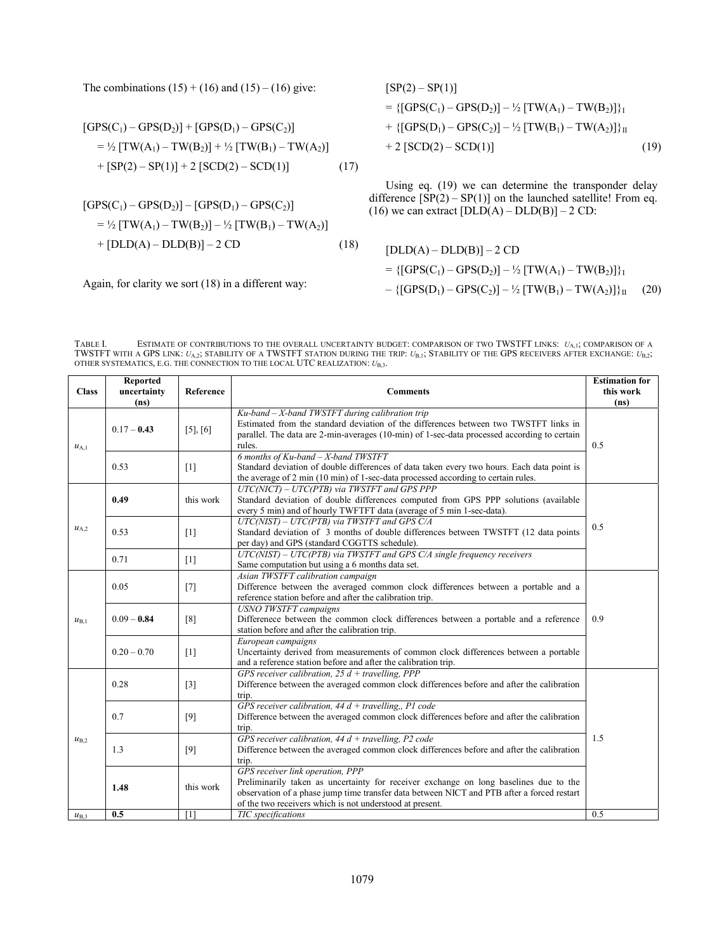The combinations  $(15) + (16)$  and  $(15) - (16)$  give:

$$
[GPS(C1) – GPS(D2)] + [GPS(D1) – GPS(C2)]
$$
  
=  $\frac{1}{2}$  [TW(A<sub>1</sub>) – TW(B<sub>2</sub>)] +  $\frac{1}{2}$  [TW(B<sub>1</sub>) – TW(A<sub>2</sub>)]  
+ [SP(2) – SP(1)] + 2 [SCD(2) – SCD(1)] (17)

$$
[GPS(C1) – GPS(D2)] – [GPS(D1) – GPS(C2)]
$$
  
=  $\frac{1}{2}$  [TW(A<sub>1</sub>) – TW(B<sub>2</sub>)] –  $\frac{1}{2}$  [TW(B<sub>1</sub>) – TW(A<sub>2</sub>)]  
+ [DLD(A) – DLD(B)] – 2 CD (18)

Again, for clarity we sort (18) in a different way:

$$
[SP(2) - SP(1)]
$$
  
= {[GPS(C<sub>1</sub>) - GPS(D<sub>2</sub>)] -  $\frac{1}{2}$  [TW(A<sub>1</sub>) - TW(B<sub>2</sub>)]}<sub>I</sub>  
+ {[GPS(D<sub>1</sub>) - GPS(C<sub>2</sub>)] -  $\frac{1}{2}$  [TW(B<sub>1</sub>) - TW(A<sub>2</sub>)]}<sub>H</sub>  
+ 2 [SCD(2) - SCD(1)] (19)

Using eq. (19) we can determine the transponder delay difference  $[SP(2) - SP(1)]$  on the launched satellite! From eq. (16) we can extract  $[DLD(A) - DLD(B)] - 2 CD$ :

$$
[DLD(A) - DLD(B)] - 2 CD
$$
  
= {[GPS(C<sub>1</sub>) - GPS(D<sub>2</sub>)] - <sup>1</sup>/<sub>2</sub> [TW(A<sub>1</sub>) - TW(B<sub>2</sub>)] }<sub>1</sub>  
- {[GPS(D<sub>1</sub>) - GPS(C<sub>2</sub>)] - <sup>1</sup>/<sub>2</sub> [TW(B<sub>1</sub>) - TW(A<sub>2</sub>)] }<sub>H</sub> (20)

TABLE I. ESTIMATE OF CONTRIBUTIONS TO THE OVERALL UNCERTAINTY BUDGET: COMPARISON OF TWO TWSTFT LINKS: *U*A,1; COMPARISON OF A TWSTFT WITH A GPS LINK: *U*A,2; STABILITY OF A TWSTFT STATION DURING THE TRIP: *U*B,1; STABILITY OF THE GPS RECEIVERS AFTER EXCHANGE: *U*B,2; OTHER SYSTEMATICS, E.G. THE CONNECTION TO THE LOCAL UTC REALIZATION: *U*B,3.

| <b>Class</b> | Reported<br>uncertainty<br>(ns) | <b>Reference</b>  | <b>Comments</b>                                                                                                                                                                                                                                                                     | <b>Estimation for</b><br>this work<br>(ns) |
|--------------|---------------------------------|-------------------|-------------------------------------------------------------------------------------------------------------------------------------------------------------------------------------------------------------------------------------------------------------------------------------|--------------------------------------------|
| $u_{A,1}$    | $0.17 - 0.43$                   | $[5]$ , $[6]$     | $Ku$ -band – X-band TWSTFT during calibration trip<br>Estimated from the standard deviation of the differences between two TWSTFT links in<br>parallel. The data are 2-min-averages (10-min) of 1-sec-data processed according to certain<br>rules.                                 | 0.5                                        |
|              | 0.53                            | [1]               | 6 months of $Ku$ -band $-X$ -band TWSTFT<br>Standard deviation of double differences of data taken every two hours. Each data point is<br>the average of 2 min (10 min) of 1-sec-data processed according to certain rules.                                                         |                                            |
| $u_{A,2}$    | 0.49                            | this work         | $UTC(NICT) - UTC(PTB)$ via TWSTFT and GPS PPP<br>Standard deviation of double differences computed from GPS PPP solutions (available<br>every 5 min) and of hourly TWFTFT data (average of 5 min 1-sec-data).                                                                       |                                            |
|              | 0.53                            | [1]               | $UTC(NIST) - UTC(PTB)$ via TWSTFT and GPS C/A<br>Standard deviation of 3 months of double differences between TWSTFT (12 data points<br>per day) and GPS (standard CGGTTS schedule).                                                                                                | 0.5                                        |
|              | 0.71                            | $[1]$             | $UTC(NIST) - UTC(PTB)$ via TWSTFT and GPS $C/A$ single frequency receivers<br>Same computation but using a 6 months data set.                                                                                                                                                       |                                            |
| $u_{B.1}$    | 0.05                            | [7]               | Asian TWSTFT calibration campaign<br>Difference between the averaged common clock differences between a portable and a<br>reference station before and after the calibration trip.                                                                                                  |                                            |
|              | $0.09 - 0.84$                   | [8]               | <b>USNO TWSTFT campaigns</b><br>Differencee between the common clock differences between a portable and a reference<br>station before and after the calibration trip.                                                                                                               | 0.9                                        |
|              | $0.20 - 0.70$                   | $\lceil 1 \rceil$ | European campaigns<br>Uncertainty derived from measurements of common clock differences between a portable<br>and a reference station before and after the calibration trip.                                                                                                        |                                            |
|              | 0.28                            | $\lceil 3 \rceil$ | GPS receiver calibration, $25 d +$ travelling, PPP<br>Difference between the averaged common clock differences before and after the calibration<br>trip.                                                                                                                            |                                            |
| $u_{B.2}$    | 0.7                             | [9]               | GPS receiver calibration, $44 d +$ travelling,, P1 code<br>Difference between the averaged common clock differences before and after the calibration<br>trip.                                                                                                                       |                                            |
|              | 1.3                             | $[9]$             | GPS receiver calibration, $44 d +$ travelling, P2 code<br>Difference between the averaged common clock differences before and after the calibration<br>trip.                                                                                                                        | 1.5                                        |
|              | 1.48                            | this work         | GPS receiver link operation, PPP<br>Preliminarily taken as uncertainty for receiver exchange on long baselines due to the<br>observation of a phase jump time transfer data between NICT and PTB after a forced restart<br>of the two receivers which is not understood at present. |                                            |
| $u_{B,3}$    | 0.5                             | [1]               | TIC specifications                                                                                                                                                                                                                                                                  | 0.5                                        |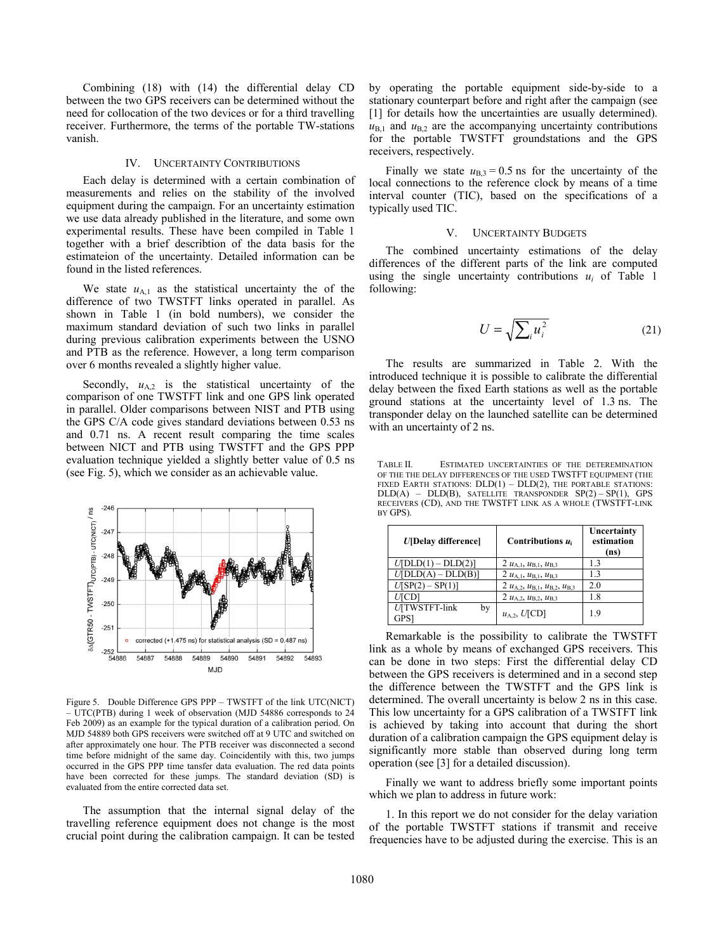Combining (18) with (14) the differential delay CD between the two GPS receivers can be determined without the need for collocation of the two devices or for a third travelling receiver. Furthermore, the terms of the portable TW-stations vanish.

## IV. UNCERTAINTY CONTRIBUTIONS

Each delay is determined with a certain combination of measurements and relies on the stability of the involved equipment during the campaign. For an uncertainty estimation we use data already published in the literature, and some own experimental results. These have been compiled in Table 1 together with a brief describtion of the data basis for the estimateion of the uncertainty. Detailed information can be found in the listed references.

We state  $u_{A,1}$  as the statistical uncertainty the of the difference of two TWSTFT links operated in parallel. As shown in Table 1 (in bold numbers), we consider the maximum standard deviation of such two links in parallel during previous calibration experiments between the USNO and PTB as the reference. However, a long term comparison over 6 months revealed a slightly higher value.

Secondly,  $u_{A,2}$  is the statistical uncertainty of the comparison of one TWSTFT link and one GPS link operated in parallel. Older comparisons between NIST and PTB using the GPS C/A code gives standard deviations between 0.53 ns and 0.71 ns. A recent result comparing the time scales between NICT and PTB using TWSTFT and the GPS PPP evaluation technique yielded a slightly better value of 0.5 ns (see Fig. 5), which we consider as an achievable value.



Figure 5. Double Difference GPS PPP – TWSTFT of the link UTC(NICT) – UTC(PTB) during 1 week of observation (MJD 54886 corresponds to 24 Feb 2009) as an example for the typical duration of a calibration period. On MJD 54889 both GPS receivers were switched off at 9 UTC and switched on after approximately one hour. The PTB receiver was disconnected a second time before midnight of the same day. Coincidentily with this, two jumps occurred in the GPS PPP time tansfer data evaluation. The red data points have been corrected for these jumps. The standard deviation (SD) is evaluated from the entire corrected data set.

The assumption that the internal signal delay of the travelling reference equipment does not change is the most crucial point during the calibration campaign. It can be tested

by operating the portable equipment side-by-side to a stationary counterpart before and right after the campaign (see [1] for details how the uncertainties are usually determined).  $u_{B,1}$  and  $u_{B,2}$  are the accompanying uncertainty contributions for the portable TWSTFT groundstations and the GPS receivers, respectively.

Finally we state  $u_{B,3} = 0.5$  ns for the uncertainty of the local connections to the reference clock by means of a time interval counter (TIC), based on the specifications of a typically used TIC.

#### V. UNCERTAINTY BUDGETS

The combined uncertainty estimations of the delay differences of the different parts of the link are computed using the single uncertainty contributions *ui* of Table 1 following:

$$
U = \sqrt{\sum_{i} u_i^2} \tag{21}
$$

The results are summarized in Table 2. With the introduced technique it is possible to calibrate the differential delay between the fixed Earth stations as well as the portable ground stations at the uncertainty level of 1.3 ns. The transponder delay on the launched satellite can be determined with an uncertainty of 2 ns.

TABLE II. ESTIMATED UNCERTAINTIES OF THE DETEREMINATION OF THE THE DELAY DIFFERENCES OF THE USED TWSTFT EQUIPMENT (THE FIXED EARTH STATIONS: DLD(1) – DLD(2), THE PORTABLE STATIONS: DLD(A) – DLD(B), SATELLITE TRANSPONDER SP(2) – SP(1), GPS RECEIVERS (CD), AND THE TWSTFT LINK AS A WHOLE (TWSTFT-LINK BY GPS).

| <b><i>U</i></b> [Delay difference]      | Contributions $u_i$                             | Uncertainty<br>estimation<br>(ns) |
|-----------------------------------------|-------------------------------------------------|-----------------------------------|
| $U[\text{DLD}(1) - \text{DLD}(2)]$      | 2 $u_{A,1}$ , $u_{B,1}$ , $u_{B,3}$             | 13                                |
| $U[DLD(A) - DLD(B)]$                    | 2 $u_{A,1}$ , $u_{B,1}$ , $u_{B,3}$             | 13                                |
| $U$ [SP(2) – SP(1)]                     | 2 $u_{A,2}$ , $u_{B,1}$ , $u_{B,2}$ , $u_{B,3}$ | 2.0                               |
| $U$ CD                                  | 2 $u_{A,2}, u_{B,2}, u_{B,3}$                   | 1.8                               |
| U[TWSTFT-link<br>by<br>GPS <sup>.</sup> | $u_{A,2}$ , $U$ [CD]                            | 19                                |

Remarkable is the possibility to calibrate the TWSTFT link as a whole by means of exchanged GPS receivers. This can be done in two steps: First the differential delay CD between the GPS receivers is determined and in a second step the difference between the TWSTFT and the GPS link is determined. The overall uncertainty is below 2 ns in this case. This low uncertainty for a GPS calibration of a TWSTFT link is achieved by taking into account that during the short duration of a calibration campaign the GPS equipment delay is significantly more stable than observed during long term operation (see [3] for a detailed discussion).

Finally we want to address briefly some important points which we plan to address in future work:

1. In this report we do not consider for the delay variation of the portable TWSTFT stations if transmit and receive frequencies have to be adjusted during the exercise. This is an